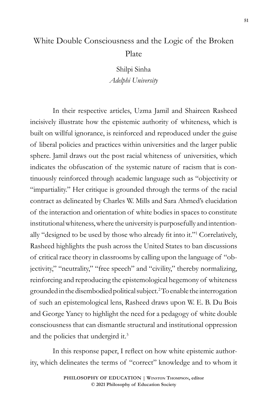# White Double Consciousness and the Logic of the Broken Plate

Shilpi Sinha *Adelphi University*

In their respective articles, Uzma Jamil and Shaireen Rasheed incisively illustrate how the epistemic authority of whiteness, which is built on willful ignorance, is reinforced and reproduced under the guise of liberal policies and practices within universities and the larger public sphere. Jamil draws out the post racial whiteness of universities, which indicates the obfuscation of the systemic nature of racism that is continuously reinforced through academic language such as "objectivity or "impartiality." Her critique is grounded through the terms of the racial contract as delineated by Charles W. Mills and Sara Ahmed's elucidation of the interaction and orientation of white bodies in spaces to constitute institutional whiteness, where the university is purposefully and intentionally "designed to be used by those who already fit into it."<sup>1</sup> Correlatively, Rasheed highlights the push across the United States to ban discussions of critical race theory in classrooms by calling upon the language of "objectivity," "neutrality," "free speech" and "civility," thereby normalizing, reinforcing and reproducing the epistemological hegemony of whiteness grounded in the disembodied political subject.2 To enable the interrogation of such an epistemological lens, Rasheed draws upon W. E. B. Du Bois and George Yancy to highlight the need for a pedagogy of white double consciousness that can dismantle structural and institutional oppression and the policies that undergird it.3

In this response paper, I reflect on how white epistemic authority, which delineates the terms of "correct" knowledge and to whom it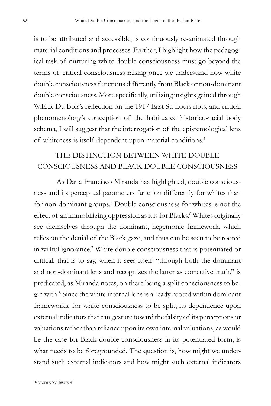is to be attributed and accessible, is continuously re-animated through material conditions and processes. Further, I highlight how the pedagogical task of nurturing white double consciousness must go beyond the terms of critical consciousness raising once we understand how white double consciousness functions differently from Black or non-dominant double consciousness. More specifically, utilizing insights gained through W.E.B. Du Bois's reflection on the 1917 East St. Louis riots, and critical phenomenology's conception of the habituated historico-racial body schema, I will suggest that the interrogation of the epistemological lens of whiteness is itself dependent upon material conditions.4

## THE DISTINCTION BETWEEN WHITE DOUBLE CONSCIOUSNESS AND BLACK DOUBLE CONSCIOUSNESS

As Dana Francisco Miranda has highlighted, double consciousness and its perceptual parameters function differently for whites than for non-dominant groups.<sup>5</sup> Double consciousness for whites is not the effect of an immobilizing oppression as it is for Blacks.<sup>6</sup> Whites originally see themselves through the dominant, hegemonic framework, which relies on the denial of the Black gaze, and thus can be seen to be rooted in willful ignorance.<sup>7</sup> White double consciousness that is potentiated or critical, that is to say, when it sees itself "through both the dominant and non-dominant lens and recognizes the latter as corrective truth," is predicated, as Miranda notes, on there being a split consciousness to begin with.8 Since the white internal lens is already rooted within dominant frameworks, for white consciousness to be split, its dependence upon external indicators that can gesture toward the falsity of its perceptions or valuations rather than reliance upon its own internal valuations, as would be the case for Black double consciousness in its potentiated form, is what needs to be foregrounded. The question is, how might we understand such external indicators and how might such external indicators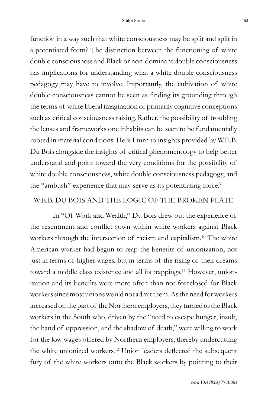function in a way such that white consciousness may be split and split in a potentiated form? The distinction between the functioning of white double consciousness and Black or non-dominant double consciousness has implications for understanding what a white double consciousness pedagogy may have to involve. Importantly, the cultivation of white double consciousness cannot be seen as finding its grounding through the terms of white liberal imagination or primarily cognitive conceptions such as critical consciousness raising. Rather, the possibility of troubling the lenses and frameworks one inhabits can be seen to be fundamentally rooted in material conditions. Here I turn to insights provided by W.E.B. Du Bois alongside the insights of critical phenomenology to help better understand and point toward the very conditions for the possibility of white double consciousness, white double consciousness pedagogy, and the "ambush" experience that may serve as its potentiating force.<sup>9</sup>

### W.E.B. DU BOIS AND THE LOGIC OF THE BROKEN PLATE

In "Of Work and Wealth," Du Bois drew out the experience of the resentment and conflict sown within white workers against Black workers through the intersection of racism and capitalism.<sup>10</sup> The white American worker had begun to reap the benefits of unionization, not just in terms of higher wages, but in terms of the rising of their dreams toward a middle class existence and all its trappings.<sup>11</sup> However, unionization and its benefits were more often than not foreclosed for Black workers since most unions would not admit them. As the need for workers increased on the part of the Northern employers, they turned to the Black workers in the South who, driven by the "need to escape hunger, insult, the hand of oppression, and the shadow of death," were willing to work for the low wages offered by Northern employers, thereby undercutting the white unionized workers.12 Union leaders deflected the subsequent fury of the white workers onto the Black workers by pointing to their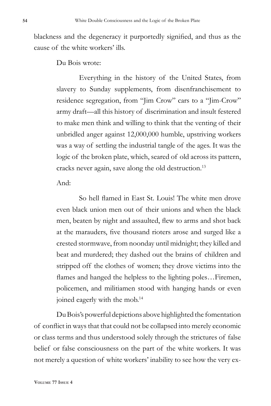blackness and the degeneracy it purportedly signified, and thus as the cause of the white workers' ills.

Du Bois wrote:

Everything in the history of the United States, from slavery to Sunday supplements, from disenfranchisement to residence segregation, from "Jim Crow" cars to a "Jim-Crow" army draft—all this history of discrimination and insult festered to make men think and willing to think that the venting of their unbridled anger against 12,000,000 humble, upstriving workers was a way of settling the industrial tangle of the ages. It was the logic of the broken plate, which, seared of old across its pattern, cracks never again, save along the old destruction.13

#### And:

So hell flamed in East St. Louis! The white men drove even black union men out of their unions and when the black men, beaten by night and assaulted, flew to arms and shot back at the marauders, five thousand rioters arose and surged like a crested stormwave, from noonday until midnight; they killed and beat and murdered; they dashed out the brains of children and stripped off the clothes of women; they drove victims into the flames and hanged the helpless to the lighting poles... Firemen, policemen, and militiamen stood with hanging hands or even joined eagerly with the mob.<sup>14</sup>

Du Bois's powerful depictions above highlighted the fomentation of conflict in ways that that could not be collapsed into merely economic or class terms and thus understood solely through the strictures of false belief or false consciousness on the part of the white workers. It was not merely a question of white workers' inability to see how the very ex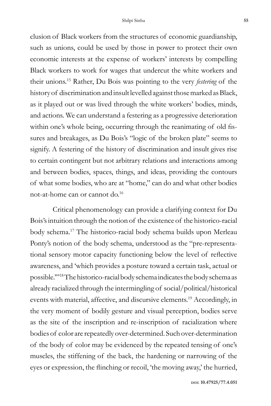clusion of Black workers from the structures of economic guardianship, such as unions, could be used by those in power to protect their own economic interests at the expense of workers' interests by compelling Black workers to work for wages that undercut the white workers and their unions.15 Rather, Du Bois was pointing to the very *festering* of the history of discrimination and insult levelled against those marked as Black, as it played out or was lived through the white workers' bodies, minds, and actions. We can understand a festering as a progressive deterioration within one's whole being, occurring through the reanimating of old fissures and breakages, as Du Bois's "logic of the broken plate" seems to signify. A festering of the history of discrimination and insult gives rise to certain contingent but not arbitrary relations and interactions among and between bodies, spaces, things, and ideas, providing the contours of what some bodies, who are at "home," can do and what other bodies not-at-home can or cannot do.16

Critical phenomenology can provide a clarifying context for Du Bois's intuition through the notion of the existence of the historico-racial body schema.<sup>17</sup> The historico-racial body schema builds upon Merleau Ponty's notion of the body schema, understood as the "pre-representational sensory motor capacity functioning below the level of reflective awareness, and 'which provides a posture toward a certain task, actual or possible.'"18 The historico-racial body schema indicates the body schema as already racialized through the intermingling of social/political/historical events with material, affective, and discursive elements.<sup>19</sup> Accordingly, in the very moment of bodily gesture and visual perception, bodies serve as the site of the inscription and re-inscription of racialization where bodies of color are repeatedly over-determined. Such over-determination of the body of color may be evidenced by the repeated tensing of one's muscles, the stiffening of the back, the hardening or narrowing of the eyes or expression, the flinching or recoil, 'the moving away,' the hurried,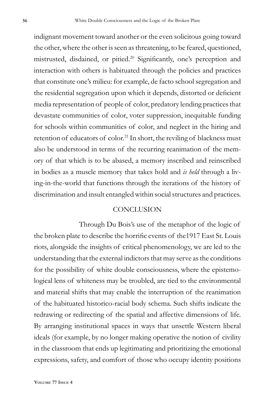indignant movement toward another or the even solicitous going toward the other, where the other is seen as threatening, to be feared, questioned, mistrusted, disdained, or pitied.20 Significantly, one's perception and interaction with others is habituated through the policies and practices that constitute one's milieu: for example, de facto school segregation and the residential segregation upon which it depends, distorted or deficient media representation of people of color, predatory lending practices that devastate communities of color, voter suppression, inequitable funding for schools within communities of color, and neglect in the hiring and retention of educators of color.<sup>21</sup> In short, the reviling of blackness must also be understood in terms of the recurring reanimation of the memory of that which is to be abased, a memory inscribed and reinscribed in bodies as a muscle memory that takes hold and *is held* through a living-in-the-world that functions through the iterations of the history of discrimination and insult entangled within social structures and practices.

#### **CONCLUSION**

Through Du Bois's use of the metaphor of the logic of the broken plate to describe the horrific events of the1917 East St. Louis riots, alongside the insights of critical phenomenology, we are led to the understanding that the external indictors that may serve as the conditions for the possibility of white double consciousness, where the epistemological lens of whiteness may be troubled, are tied to the environmental and material shifts that may enable the interruption of the reanimation of the habituated historico-racial body schema. Such shifts indicate the redrawing or redirecting of the spatial and affective dimensions of life. By arranging institutional spaces in ways that unsettle Western liberal ideals (for example, by no longer making operative the notion of civility in the classroom that ends up legitimating and prioritizing the emotional expressions, safety, and comfort of those who occupy identity positions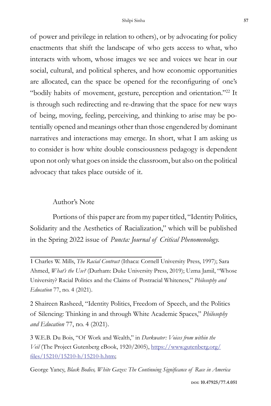of power and privilege in relation to others), or by advocating for policy enactments that shift the landscape of who gets access to what, who interacts with whom, whose images we see and voices we hear in our social, cultural, and political spheres, and how economic opportunities are allocated, can the space be opened for the reconfiguring of one's "bodily habits of movement, gesture, perception and orientation."22 It is through such redirecting and re-drawing that the space for new ways of being, moving, feeling, perceiving, and thinking to arise may be potentially opened and meanings other than those engendered by dominant narratives and interactions may emerge. In short, what I am asking us to consider is how white double consciousness pedagogy is dependent upon not only what goes on inside the classroom, but also on the political advocacy that takes place outside of it.

#### Author's Note

Portions of this paper are from my paper titled, "Identity Politics, Solidarity and the Aesthetics of Racialization," which will be published in the Spring 2022 issue of *Puncta: Journal of Critical Phenomenology.*

2 Shaireen Rasheed, "Identity Politics, Freedom of Speech, and the Politics of Silencing: Thinking in and through White Academic Spaces," *Philosophy and Education* 77, no. 4 (2021).

3 W.E.B. Du Bois, "Of Work and Wealth," in *Darkwater: Voices from within the Veil* (The Project Gutenberg eBook, 1920/2005), https://www.gutenberg.org/ files/15210/15210-h/15210-h.htm;

George Yancy, *Black Bodies, White Gazes: The Continuing Significance of Race in America*

<sup>1</sup> Charles W. Mills, *The Racial Contract* (Ithaca: Cornell University Press, 1997); Sara Ahmed, *What's the Use?* (Durham: Duke University Press, 2019); Uzma Jamil, "Whose University? Racial Politics and the Claims of Postracial Whiteness," *Philosophy and Education* 77, no. 4 (2021).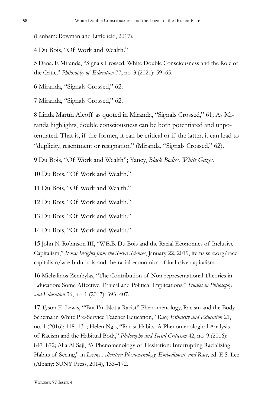(Lanham: Rowman and Littlefield, 2017).

4 Du Bois, "Of Work and Wealth."

5 Dana. F. Miranda, "Signals Crossed: White Double Consciousness and the Role of the Critic," *Philosophy of Education* 77, no. 3 (2021): 59–65.

6 Miranda, "Signals Crossed," 62.

7 Miranda, "Signals Crossed," 62.

8 Linda Martín Alcoff as quoted in Miranda, "Signals Crossed," 61; As Miranda highlights, double consciousness can be both potentiated and unpotentiated. That is, if the former, it can be critical or if the latter, it can lead to "duplicity, resentment or resignation" (Miranda, "Signals Crossed," 62).

9 Du Bois, "Of Work and Wealth"; Yancy, *Black Bodies, White Gazes.*

10 Du Bois, "Of Work and Wealth."

11 Du Bois, "Of Work and Wealth."

12 Du Bois, "Of Work and Wealth."

13 Du Bois, "Of Work and Wealth."

14 Du Bois, "Of Work and Wealth."

15 John N. Robinson III, "W.E.B. Du Bois and the Racial Economics of Inclusive Capitalism," *Items: Insights from the Social Sciences*, January 22, 2019, items.ssrc.org/racecapitalism/w-e-b-du-bois-and-the-racial-economics-of-inclusive-capitalism.

16 Michalinos Zembylas, "The Contribution of Non-representational Theories in Education: Some Affective, Ethical and Political Implications," *Studies in Philosophy and Education* 36, no. 1 (2017): 393–407.

17 Tyson E. Lewis, "'But I'm Not a Racist!' Phenomenology, Racism and the Body Schema in White Pre-Service Teacher Education," *Race, Ethnicity and Education* 21, no. 1 (2016): 118–131; Helen Ngo, "Racist Habits: A Phenomenological Analysis of Racism and the Habitual Body," *Philosophy and Social Criticism* 42, no. 9 (2016): 847–872; Alia Al Saji, "A Phenomenology of Hesitation: Interrupting Racializing Habits of Seeing," in *Living Alterities: Phenomenology, Embodiment, and Race*, ed. E.S. Lee (Albany: SUNY Press, 2014), 133–172.